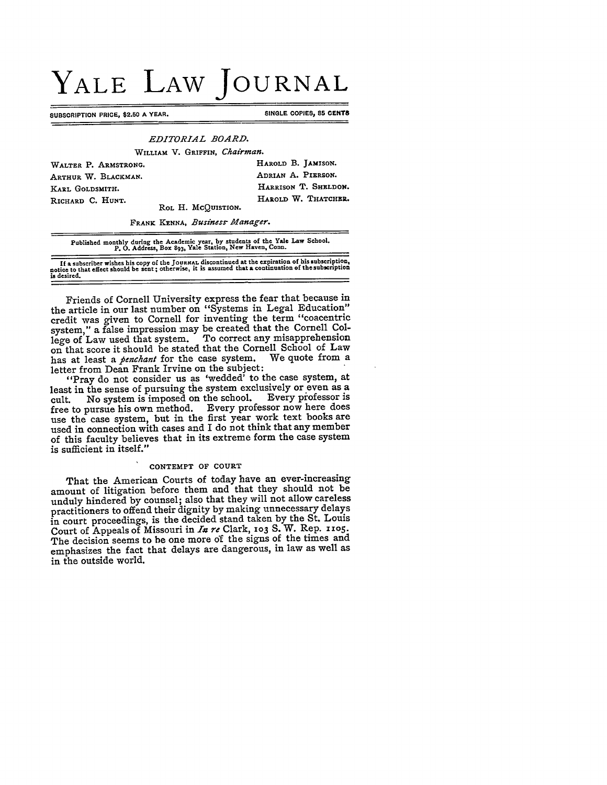# YALE LAW **JOURNAL**

**SUBSCRIPTION PRICE, \$2.50 A YEAR. SINGLE COPIES, 85 CENTS**

#### *EDITORIAL BOARD.*

**WILLIAM** V. **GRIFFIN,** *Chairman.*

**ARTHUR W. BLACKMAN.** 

WALTER P. ARMSTRONG. **HAROLD B. JAMISON.**<br>Apthile W. Rlackman. **Harry B. Adelian A. Pierson. KARL GOLDSMITH. HARRISON** T. **SHELDON.** RICHARD C. HUNT. THATCHER.

**ROL** H. **MCQUISTION.** FRANK **KENNA,** *Business- Manager.*

|  | Published monthly during the Academic year, by students of the Yale Law School.<br>P. O. Address, Box 893, Yale Station, New Haven, Conn. |  |
|--|-------------------------------------------------------------------------------------------------------------------------------------------|--|
|--|-------------------------------------------------------------------------------------------------------------------------------------------|--|

If a subscriber wishes his copy of the Journal discontinued at the expiration of his subscription<br>notice to that effect should be sent; otherwise, it is assumed that a continuation of the subscription<br>is desired.

Friends of Cornell University express the fear that because in the article in our last number on "Systems in Legal Education" credit was given to Cornell for inventing the term "coacentric system," a false impression may be created that the Cornell College of Law used that system. To correct any misapprehension lege of Law used that system. To correct any misapprehension<br>on that score it should be stated that the Cornell School of Law<br>has at least a *penchant* for the case system. We quote from a has at least a *penchant* for the case system. letter from Dean Frank Irvine on the subject:

"Pray do not consider us as 'wedded' to the case system, at least in the sense of pursuing the system exclusively or even as a<br>cult No system is imposed on the school. Every professor is cult. No system is imposed on the school. free to pursue his own method. Every professor now here does use the case system, but in the first year work text books are used in connection with cases and I do not think that any member of this faculty believes that in its extreme form the case system is sufficient in itself."

#### **CONTEMPT OF COURT**

That the American Courts of today have an ever-increasing amount of litigation before them and that they should not be unduly hindered **by** counsel; also that they will not allow careless practitioners to offend their dignity **by** making unnecessary delays in court proceedings, is the decided stand taken **by** the St. Louis Court of Appeals of Missouri in *In re* Clark, 103 S. W. Rep. 1105. The decision seems to be one more **of** the signs of the times and emphasizes the fact that delays are dangerous, in law as well as in the outside world.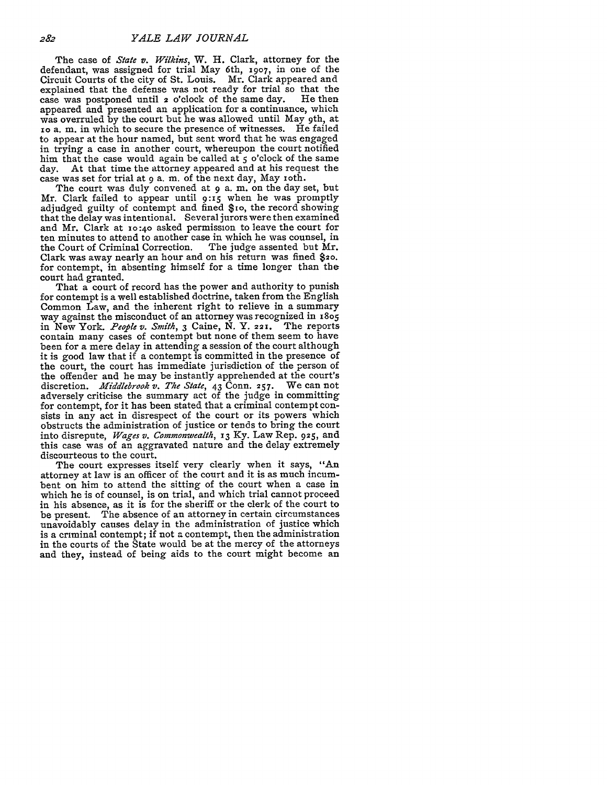The case of *State v. Wilkins,* W. H. Clark, attorney for the defendant, was assigned for trial May 6th, **1907,** in one of the Circuit Courts of the city of St. Louis. Mr. Clark appeared and explained that the defense was not ready for trial so that the case was postponed until  $\boldsymbol{z}$  o'clock of the same day. He then case was postponed until 2 o'clock of the same day. appeared and presented an application for a continuance, which was overruled by the court but he was allowed until May 9th, at zo a. m. in which to secure the presence of witnesses. He failed to appear at the hour named, but sent word that he was engaged in trying a case in another court, whereupon the court notified him that the case would again be called at 5 o'clock of the same day. At that time the attorney appeared and at his request the case was set for trial at **9** a. m. of the next day, May ioth.

The court was duly convened at **9** a. m. on the day set, but Mr. Clark failed to appear until 9:15 when he was promptly adjudged guilty of contempt and fined \$io, the record showing that the delay was intentional. Several jurors were then examined and Mr. Clark at **10:4o** asked permission to leave the court for ten minutes to attend to another case in which he was counsel, in the Court of Criminal Correction. The judge assented but Mr. the Court of Criminal Correction. Clark was away nearly an hour and on his return was fined **\$20.** for contempt, in absenting himself for a time longer than the court had granted.

That a court of record has the power and authority to punish for contempt is a well established doctrine, taken from the English Common Law, and the inherent right to relieve in a summary way against the misconduct of an attorney was recognized in 1805 in New York. *People v. Smith,* 3 Caine, N. Y. 221. The reports contain many cases of contempt but none of them seem to have been for a mere delay in attending a session of the court although it is good law that if a contempt is committed in the presence of the court, the court has immediate jurisdiction of the person of the offender and he may be instantly apprehended at the court's discretion. *Afiddlebrook v. The Slate,* 43 Conn. **257.** We can not adversely criticise the summary act of the judge in committing for contempt, for it has been stated that a criminal contempt consists in any act in disrespect of the court or its powers which obstructs the administration of justice or tends to bring the court into disrepute, *Wages v. Commonwealth,* **13** Ky. Law Rep. **925,** and this case was of an aggravated nature and the delay extremely discourteous to the court.

The court expresses itself very clearly when it says, "An attorney at law is an officer of the court and it is as much incumbent on him to attend the sitting of the court when a case in which he is of counsel, is on trial, and which trial cannot proceed in his absence, as it is for the sheriff or the clerk of the court to be present. The absence of an attorney in certain circumstances unavoidably causes delay in the administration of justice which is a criminal contempt; if not a contempt, then the administration in the courts of the State would be at the mercy of the attorneys and they, instead of being aids to the court might become an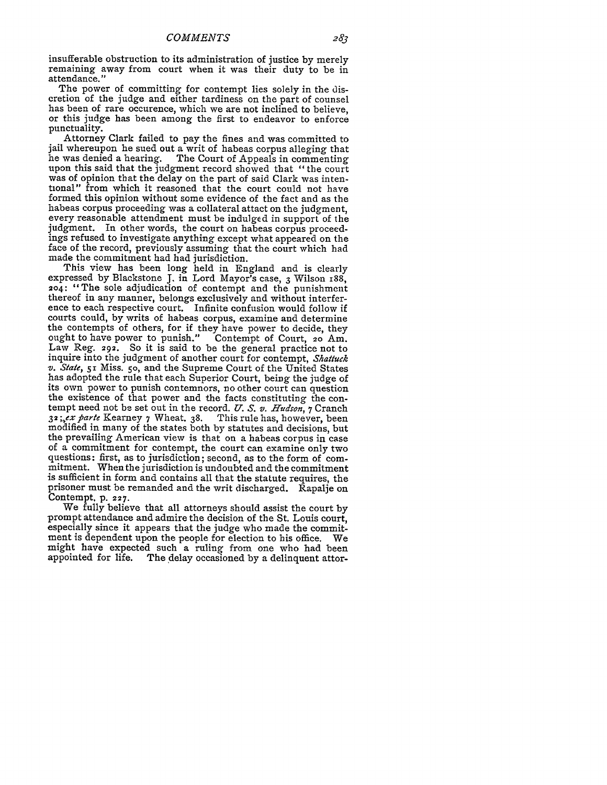insufferable obstruction to its administration of justice by merely remaining away from court when it was their duty to be in attendance."

The power of committing for contempt lies solely in the discretion of the judge and either tardiness on the part of counsel has been of rare occurence, which we are not inclined to believe, or this judge has been among the first to endeavor to enforce punctuality.

Attorney Clark failed to pay the fines and was committed to jail whereupon he sued out a writ of habeas corpus alleging that he was denied a hearing. The Court of Appeals in commenting The Court of Appeals in commenting. upon this said that the judgment record showed that "the court was of opinion that the delay on the part of said Clark was intentional" from which it reasoned that the court could not have formed this opinion without some evidence of the fact and as the habeas corpus proceeding was a collateral attact on the judgment, every reasonable attendment must be indulged in support of the judgment. In other words, the court on habeas corpus proceed- ings refused to investigate anything except what appeared on the face of the record, previously assuming that the court which had

made the commitment had had jurisdiction.<br>This view has been long held in England and is clearly expressed by Blackstone J. in Lord Mayor's case, 3 Wilson 188, **204:** "The sole adjudication of contempt and the punishment thereof in any manner, belongs exclusively and without interference to each respective court. Infinite confusion would follow if courts could, by writs of habeas corpus, examine and determine the contempts of others, for if they have power to decide, they ought to have power to punish." Contempt of Court, **20** Am. Law Reg. 292. So it is said to be the general practice not to inquire into the judgment of another court for contempt, *Shattuck* v. State, 51 Miss. 50, and the Supreme Court of the United States has adopted the rule that each Superior Court, being the judge of its own power to punish contemnors, no other court can question the existence of that power and the facts constituting the contempt need not be set out in the record. *U. S. v. Hudson*, 7 Cranch 32; ex parte Kearney 7 Wheat. 38. This rule has, however, been *32;,ex parte* Kearney 7 Wheat. 38. modified in many of the states both by statutes and decisions, but the prevailing American view is that on a habeas corpus in case of a commitment for contempt, the court can examine only two questions: first, as to jurisdiction; second, as to the form of commitment. When the jurisdiction is undoubted and the commitment is sufficient in form and contains all that the statute requires, the prisoner must be remanded and the writ discharged. Rapalje on Contempt, p. **227.**

We fully believe that all attorneys should assist the court by prompt attendance and admire the decision of the St. Louis court, especially since it appears that the judge who made the commitment is dependent upon the people for election to his office. We might have expected such a ruling from one who had been appointed for life. The delay occasioned by a delinquent attor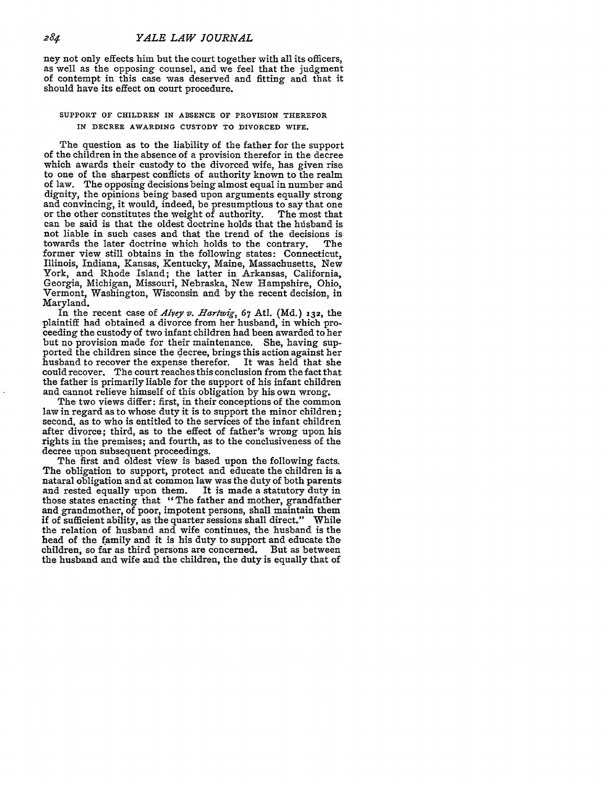ney not only effects him but the court together with all its officers, as well as the opposing counsel, and we feel that the judgment of contempt in this case was deserved and fitting and that it should have its effect on court procedure.

#### **SUPPORT OF CHILDREN IN ABSENCE OF PROVISION THEREFOR IN DECREE AWARDING CUSTODY TO DIVORCED WIFE.**

The question as to the liability of the father for the support of the children in the absence of a provision therefor in the decree which awards their custody to the divorced wife, has given rise to one of the sharpest conflicts of authority known to the realm of law. The opposing decisions being almost equal in number and dignity, the opinions being based upon arguments equally strong and convincing, it would, indeed, be presumptious to say that one or the other constitutes the weight of authority. The most that can be said is that the oldest doctrine holds that the huisband is not liable in such cases and that the trend of the decisions is towards the later doctrine which holds to the contrary. The former view still obtains in the following states: Connecticut, Illinois, Indiana, Kansas, Kentucky, Maine, Massachusetts, New York, and Rhode Island; the latter in Arkansas, California, Georgia, Michigan, Missouri, Nebraska, New Hampshire, Ohio, Vermont, Washington, Wisconsin and by the recent decision, in Maryland.

In the recent case of *Alvey v. Hartwig*, 67 Atl. (Md.) 132, the plaintiff had obtained a divorce from her husband, in which proceeding the custody of two infant children had been awarded to her but no provision made for their maintenance. She, having supported the children since the decree, brings this action against her husband to recover the expense therefor. It was held that she could recover. The court reaches this conclusion from the fact that the father is primarily liable for the support of his infant children and cannot relieve himself of this obligation by his own wrong.

The two views differ: first, in their conceptions of the common law in regard as to whose duty it is to support the minor children; second, as to who is entitled to the services of the infant children after divorce; third, as to the effect of father's wrong upon his rights in the premises; and fourth, as to the conclusiveness of the decree upon subsequent proceedings.

The first and oldest view is based upon the following facts. The obligation to support, protect and educate the children is a nataral obligation and at common law was the duty of both parents and rested equally upon them. It is made a statutory duty in those states enacting that "The father and mother, grandfather and grandmother, of poor, impotent persons, shall maintain them if of sufficient ability, as the quarter sessions shall direct." While the relation of husband and wife continues, the husband is the head of the family and it is his duty to support and educate *the* children, so far as third persons are concerned. But as between the husband and wife and the children, the duty is equally that of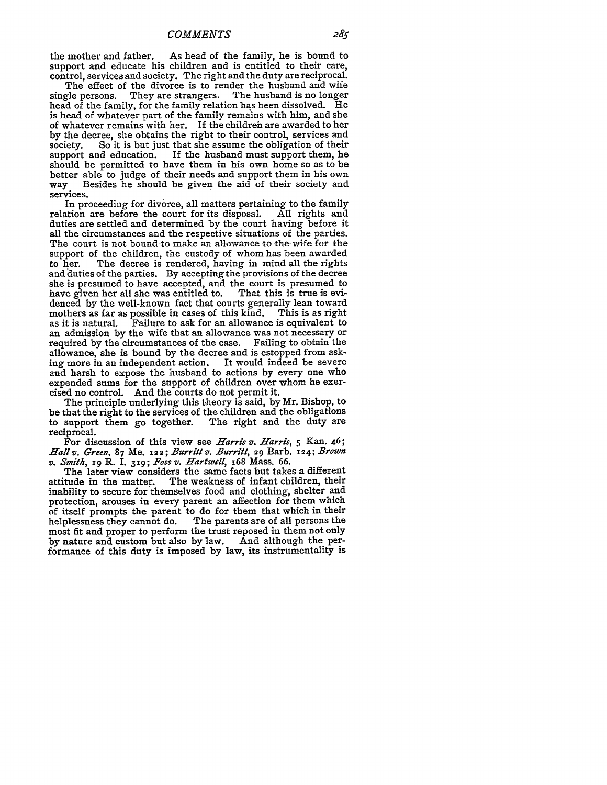the mother and father. As bead of the family, he is bound to support and educate his children and is entitled to their care, control, services and society. The right and the duty are reciprocal.

The effect of the divorce is to render the husband and wiie single persons. They are strangers. The husband is no longer head of the family, for the family relation has been dissolved. He is head of whatever part of the family remains with him, and she of whatever remains with her. If the childreh are awarded to her by the decree, she obtains the right to their control, services and society. So it is but just that she assume the obligation of their support and education. If the husband must support them, he should be permitted to have them in his own home so as to be better able to judge of their needs and support them in his own way<br>way Besides he should be given the aid of their society and Besides he should be given the aid of their society and services.

In proceeding for divorce, all matters pertaining to the family relation are before the court for its disposal. duties are settled and determined by the court having before it all the circumstances and the respective situations of the parties. The court is not bound to make an allowance to the wife for the support of the children, the custody of whom has been awarded to her. The decree is rendered, having in mind all the rights and duties of the parties. By accepting the provisions of the decree she is presumed to have accepted, and the court is presumed to have given her all she was entitled to. That this is true is evihave given her all she was entitled to. denced by the well-known fact that courts generally lean toward mothers as far as possible in cases of this kind. This is as right as it is natural. Failure to ask for an allowance is equivalent to an admission by the wife that an allowance was not necessary or required by the circumstances of the case. Failing to obtain the allowance, she is bound by the decree and is estopped from asking more in an independent action. It would indeed be severe and harsh to expose the husband to actions by every one who expended sums for the support of children over whom he exercised no control. And the courts do not permit it.

The principle underlying this theory is said, by Mr. Bishop, to be that the right to the services of the children and the obligations to support them go together. The right and the duty are to support them go together. reciprocal.

For discussion of this view see *Harris v. Harris, 5* Kan. 46; *Hall v. Green,* **87** Me. 122; *Burrittv. Burritt,* 29 Barb. 124; *Brown v. Smith, i9* R. I. **319;** *Fossv. Hartwel,* 168 Mass. **66.**

The later view considers the same facts but takes a different attitude in the matter. The weakness of infant children, their inability to secure for themselves food and clothing, shelter and protection, arouses in every parent an affection for them which of itself prompts the parent to do for them that which in their<br>helplessness they cannot do. The parents are of all persons the The parents are of all persons the most fit and proper to perform the trust reposed in them not only<br>by nature and custom but also by law. And although the per**by nature and custom but also by law.** formance of this duty is imposed **by** law, its instrumentality is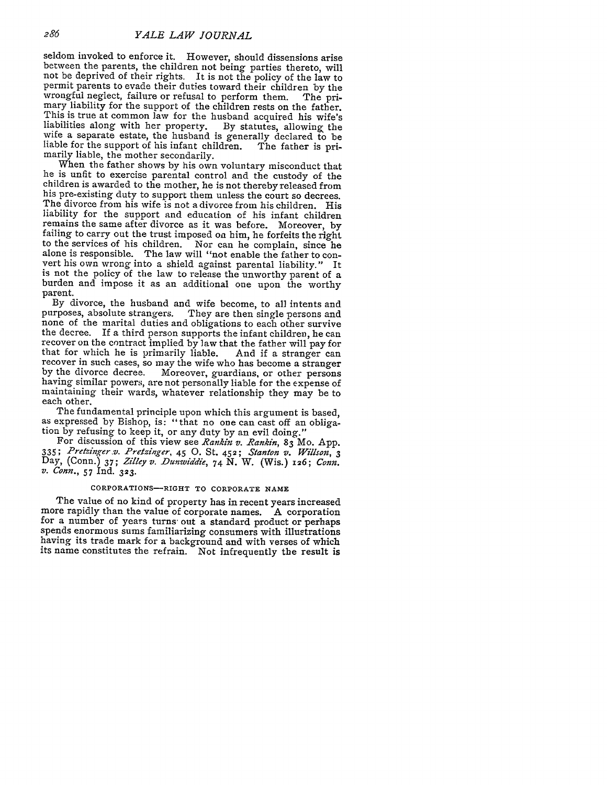seldom invoked to enforce it. However, should dissensions arise between the parents, the children not being parties thereto, will not be deprived of their rights. It is not the policy of the law to permit parents to evade their duties toward their children by the wrongful neglect, failure or refusal to perform them. The primary liability for the support of the children rests on the father. This is true at common law for the husband acquired his wife's liabilities along with her property. By statutes, allowing the wife a separate estate, the husband is generally declared to be liable for the support of his infant children. The father is primarily liable, the mother secondarily.<br>When the father shows by his own voluntary misconduct t

he is unfit to exercise parental control and the custody of the children is awarded to the mother, he is not thereby released from his pre-existing duty to support them unless the court so decrees. The divorce from his wife is not a divorce from his children. His liability for the support and education of his infant children<br>remains the same after divorce as it was before. Moreover, by failing to carry out the trust imposed on him, he forfeits the right<br>to the services of his children. Nor can he complain, since he<br>alone is responsible. The law will "not enable the father to convert his own wrong into a shield against parental liability." It is not the policy of the law to release the unworthy parent of a burden and impose it as an additional one upon the worthy

By divorce, the husband and wife become, to all intents and purposes, absolute strangers. They are then single persons and none of the marital duties and obligations to each other survive the decree. If a third person supports the infant children, he can recover on the contract implied by law that the father will pay for that for which he is primarily liable. And if a stranger can that for which he is primarily liable. And if a stranger can recover in such cases, so may the wife who has become a stranger by the divorce decree. Moreover, guardians, or other persons having similar powers, are not personally liable for the expense of maintaining their wards, whatever relationship they may be to each other.

The fundamental principle upon which this argument is based, as expressed by Bishop, is: "that no one can cast off an obligation by refusing to keep it, or any duty by an evil doing."<br>For discussion of this view see Rankin v. Rankin, 83 Mo. App.

Day, (Conn.) **37;** *Zilley v. Dunwiddie, 74* N. W. (Wis.) **126;** *Conn. v. Conn.,* 57 Ind. **323.**

### CORPORATIONS-RIGHT TO CORPORATE **NAME**

The value of no kind of property has in recent years increased more rapidly than the value of corporate names. A corporation for a number of years turns out a standard product or perhaps spends enormous sums familiarizing consumers with illustrations having its trade mark for a background and with verses of which its name constitutes the refrain. Not infrequently the result is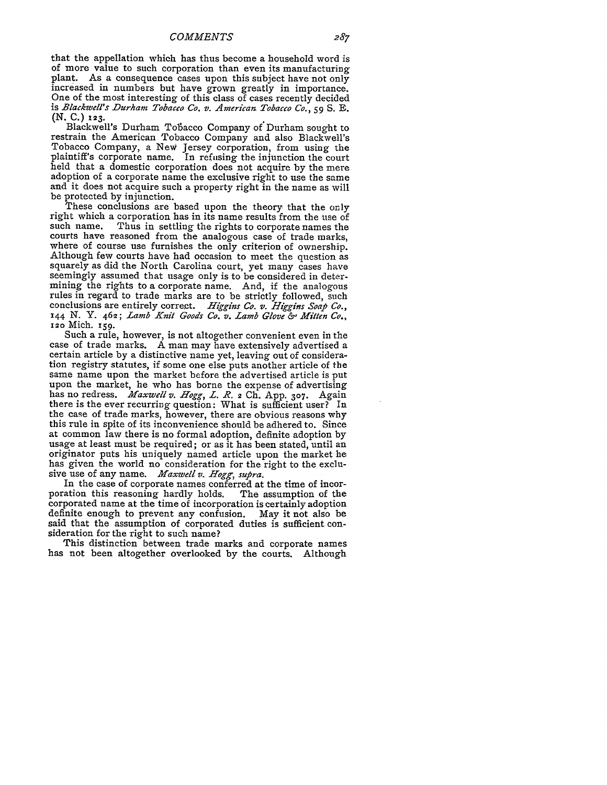that the appellation which has thus become a household word is of more value to such corporation than even its manufacturing plant. As a consequence cases upon this subject have not only increased in numbers but have grown greatly in importance. One of the most interesting of this class of cases recently decided is *Blackwell's Durham Tobacco Co. v. American Tobacco CO., 59* **S. E. (N. C.) 123.**

Blackwell's Durham Tobacco Company of Durham sought to restrain the American Tobacco Company and also Blackwell's Tobacco Company, a New Jersey corporation, from using the plaintiff's corporate name. In refusing the injunction the court held that a domestic corporation does not acquire by the mere adoption of a corporate name the exclusive right to use the same and it does not acquire such a property right in the name as will be protected by injunction.

These conclusions are based upon the theory that the only right which a corporation has in its name results from the use of such name. Thus in settling the rights to corporate names the Thus in settling the rights to corporate names the courts have reasoned from the analogous case of trade marks, where of course use furnishes the only criterion of ownership. Although few courts have had occasion to meet the question as squarely as did the North Carolina court, yet many cases have seemingly assumed that usage only is to be considered in determining the rights to a corporate name. And, if the analogous rules in regard to trade marks are to be strictly followed, such conclusions are entirely correct. *Higgins Co. v. Higgins Soap Co.*, **<sup>144</sup>N. Y.** 462; *Lamb Knit Goods Co. v. Lamb Glove &- Mitten Co.,* **120** Mich. z59.

Such a rule, however, is not altogether convenient even in the case of trade marks. A man may have extensively advertised a certain article by a distinctive name yet, leaving out of consideration registry statutes, if some one else puts another article of the same name upon the market before the advertised article is put upon the market, he who has borne the expense of advertising has no redress. *Maxwell v. Hogg, L. R.* 2 Ch. App. **307.** Again there is the ever recurring question: What is sufficient user? In the case of trade marks, however, there are obvious reasons why this rule in spite of its inconvenience should be adhered to. Since at common law there is no formal adoption, definite adoption by usage at least must be required; or as it has been stated, until an originator puts his uniquely named article upon the market he has given the world no consideration for the right to the exclusive use of any name. *Maxwell v. Hogg, supra*.

In the case of corporate names conferred at the time of incorporation this reasoning hardly holds. The assumption of the corporated name at the time of incorporation is certainly adoption definite enough to prevent any confusion. May it not also be said that the assumption of corporated duties is sufficient consideration for the right to such name?

This distinction between trade marks and corporate names has not been altogether overlooked by the courts. Although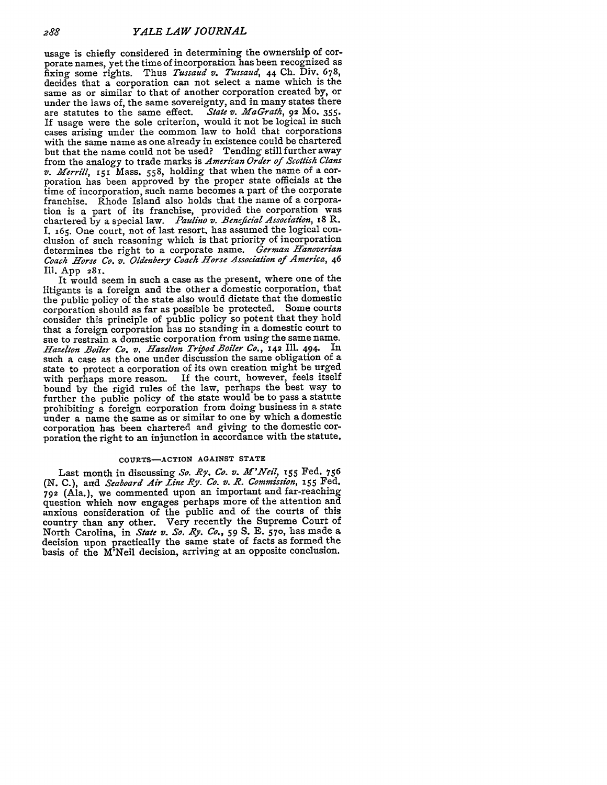usage is chiefly considered in determining the ownership of corporate names, yet the time of incorporation has been recognized as fixing some rights. Thus *Tussaud v. Tussaud,* 44 Ch. Div. 678, decides that a corporation can not select a name which is the same as or similar to that of another corporation created **by,** or under the laws of, the same sovereignty, and in many states there are statutes to the same effect. *State v. .AfaGrath,* **92** Mo. **355.** If usage were the sole criterion, would it not be logical in such cases arising under the common law to hold that corporations with the same name as one already in existence could be chartered but that the name could not be used? Tending still further away from the analogy to trade marks is *American Order of Scottish Clans v. Merrill,* **i5i** Mass. 558, holding that when the name of a corporation has been approved by the proper state officials at the time of incorporation, such name becomes a part of the corporate franchise. Rhode Island also holds that the name of a corporation is a part of its franchise, provided the corporation was chartered by a special law. *Paulino v. Beneficial Association,* 18 R. I. 165. One court, not of last resort, has assumed the logical conclusion of such reasoning which is that priority of incorporation determines the right to a corporate name. *German ffanoverian Coach Horse Co. v. Oldenbery Coach Horse Association of America, 46* Ill. **App** 281.

It would seem in such a case as the present, where one of the litigants is a foreign and the other a domestic corporation, that the public policy of the state also would dictate that the domestic corporation should as far as possible be protected. Some courts consider this principle of public policy so potent that they hold that a foreign corporation has no standing in a domestic court to sue to restrain a domestic corporation from using the same name. *Hazelton Boiler Co. v. Hazelton Tripod Boiler Co.,* **142** Ill. 494. In such a case as the one under discussion the same obligation of a state to protect a corporation of its own creation might be urged with perhaps more reason. If the court, however, feels itself bound by the rigid rules of the law, perhaps the best way to further the public policy of the state would be to pass a statute prohibiting a foreign corporation from doing business in a state under a name the same as or similar to one by which a domestic corporation has been chartered and giving to the domestic corporation the right to an injunction in accordance with the statute.

## **COURTS-ACTION AGAINST STATE**

Last month in discussing So. Ry. Co. v. M'Neil, **155 Fed.** 756 (N. **C.),** and *Seaboard Air line Ry. Co. v. R. Commission, 155* Fed. **792** (Ala.), we commented upon an important and far-reaching question which now engages perhaps more of the attention and anxious consideration of the public and of the courts of this country than any other. Very recently the Supreme Court of North Carolina, in *State v. So. Ry. Co.,* 59 **S.** E. 570, has made a decision upon practically the same state of facts as formed the basis of the M'Neil decision, arriving at an opposite conclusion.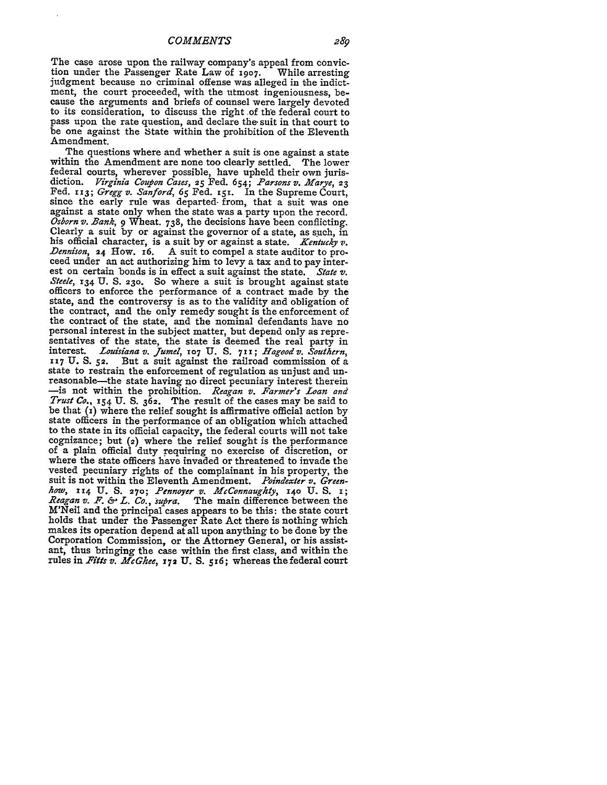The case arose upon the railway company's appeal from conviction under the Passenger Rate Law of 1907. While arresting judgment because no criminal offense was alleged in the indictment, the court proceeded, with the utmost ingeniousness, because the arguments and briefs of counsel were largely devoted to its consideration, to discuss the right of the federal court to pass upon the rate question, and declare the suit in that court to be one against the State within the prohibition of the Eleventh Amendment.

The questions where and whether a suit is one against a state within the Amendment are none too clearly settled. The lower federal courts, wherever possible, have upheld their own juris- diction. *Virginia Coupon Cases,* **25** Fed. 654; *Parsons v. .Aarye, <sup>23</sup>* Fed. **x13;** *Gregg v. Sanford,* **65** Fed. x5. In the Supreme Court, since the early rule was departed- from, that a suit was one against a state only when the state was a party upon the record. *Osborn v. Bank,* **9** Wheat. 738, the decisions have been conflicting. Clearly a suit **by** or against the governor of a state, as such, in his official character, is a suit by or against a state. *Kentucky v.*<br>*Dennison*, 24 How. 16. A suit to compel a state auditor to proceed under an act authorizing him to levy a tax and to pay interest on certain bonds is in effect a suit against the state. *State v. Steele,* **134** U. **S. 230.** So where a suit is brought against state officers to enforce the performance of a contract made **by** the state, and the controversy is as to the validity and obligation of the contract, and the only remedy sought is the enforcement of the contract of the state, and the nominal defendants have no personal interest in the subject matter, but depend only as representatives of the state, the state is deemed the real party in interest. *Louisiana v. Jumel*, 107 U. S. 711; *Hagood v. Southern*, 117 U. S. 52. But a suit against the railroad commission of a state to restrain the enforcement of regulation as unjust and unreasonable—the state having no direct pecuniary interest therein -is not within the prohibition. *Reagan v. Farmer's Loan and Trust Co.,* **154** U. **S. 362.** The result of the cases may be said to be that **(i)** where the relief sought is affirmative official action by state officers in the performance of an obligation which attached to the state in its official capacity, the federal courts will not take cognizance; but (2) where the relief sought is the performance of a plain official duty requiring no exercise of discretion, or where the state officers have invaded or threatened to invade the vested pecuniary rights of the complainant in his property, the suit is not within the Eleventh Amendment. *Poindexter v. Greenhow,* **114 U. S. 270; Pennoyer v. McConnaughty, 140 U. S. 1;**<br>*Reagan v. F. & L. Co., supra.* The main difference between the M'Neil and the principal cases appears to be this: the state court holds that under the Passenger Rate Act there is nothing which makes its operation depend at all upon anything to be done by the Corporation Commission, or the Attorney General, or his assistant, thus bringing the case within the first class, and within the rules in *Fitts v. McGhee*, **172 U. S.** 516; whereas the federal court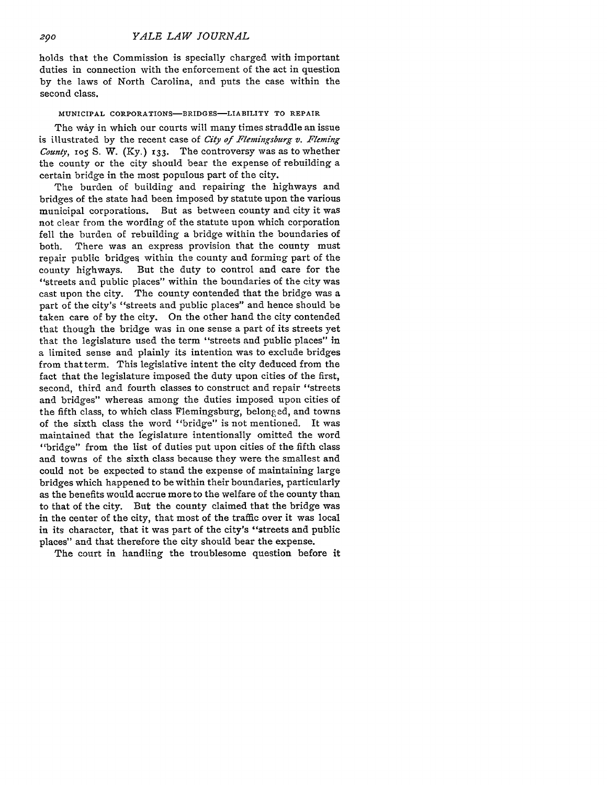holds that the Commission is specially charged with important duties in connection with the enforcement of the act in question by the laws of North Carolina, and puts the case within the second class.

**MUNICIPAL** CORPORATIONS-BRIDGES-LIABILITY TO REPAIR

The way in which our courts will many times straddle an issue is illustrated by the recent case of *City of Flemingsburg- v. Fleming County, 105* S. W. (Ky.) **r33.** The controversy was as to whether the county or the city should bear the expense of rebuilding a certain bridge in the most populous part of the city.

The burden of building and repairing the highways and bridges of the state had been imposed by statute upon the various municipal corporations. But as between county and city it was not clear from the wording of the statute upon which corporation fell the burden of rebuilding a bridge within the boundaries of both. There was an express provision that the county must repair public bridges within the county and forming part of the county highways. But the duty to control and care for the "streets and public places" within the boundaries of the city was cast upon the city. The county contended that the bridge was a part of the city's "streets and public places" and hence should be taken care of by the city. On the other hand the city contended that though the bridge was in one sense a part of its streets yet that the legislature used the term "streets and public places" in a limited sense and plainly its intention was to exclude bridges from that term. This legislative intent the city deduced from the fact that the legislature imposed the duty upon cities of the first, second, third and fourth classes to construct and repair "streets and bridges" whereas among the duties imposed upon cities of the fifth class, to which class Flemingsburg, belong-ed, and towns of the sixth class the word "bridge" is not mentioned. It was maintained that the legislature intentionally omitted the word "bridge" from the list of duties put upon cities of the fifth class and towns of the sixth class because they were the smallest and could not be expected to stand the expense of maintaining large bridges which happened to be within their boundaries, particularly as the benefits would accrue more to the welfare of the county than to that of the city. But the county claimed that the bridge was in the center of the city, that most of the traffic over it was local in its character, that it was part of the city's "streets and public places" and that therefore the city should bear the expense.

The court in handling the troublesome question before it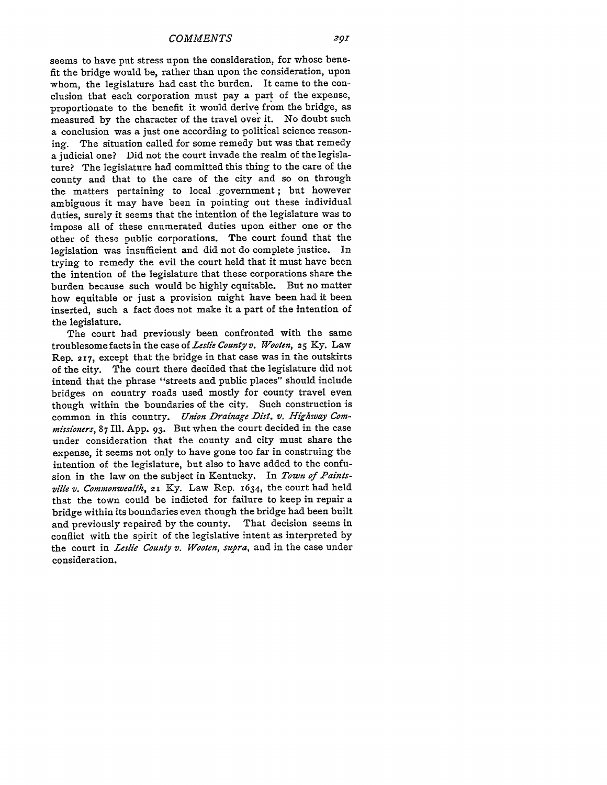seems to have put stress upon the consideration, for whose benefit the bridge would be, rather than upon the consideration, upon whom, the legislature had cast the burden. It came to the conclusion that each corporation must pay a part of the expense, proportionate to the benefit it would derive from the bridge, as measured by the character of the travel over it. No doubt such a conclusion was a just one according to political science reasoning. The situation called for some remedy but was that remedy a judicial one? Did not the court invade the realm of the legislature? The legislature had committed this thing to the care of the county and that to the care of the city and so on through the matters pertaining to local ,government; but however ambiguous it may have been in pointing out these individual duties, surely it seems that the intention of the legislature was to impose all of these enumerated duties upon either one or the other of these public corporations. The court found that the legislation was insufficient and did not do complete justice. In trying to remedy the evil the court held that it must have been the intention of the legislature that these corporations share the burden because such would be highly equitable. But no matter how equitable or just a provision might have been had it been inserted, such a fact does not make it a part of the intention of the legislature.

The court had previously been confronted with the same troublesome facts in the case of *Leslie County v. Wooten,* **25** Ky. Law Rep. **217,** except that the bridge in that case was in the outskirts of the city. The court there decided that the legislature did not intend that the phrase "streets and public places" should include bridges on country roads used mostly for county travel even though within the boundaries of the city. Such construction is common in this country. *Union Drainage Dist. v. Highway Commissioners, 87* Ill. App. **93.** But when the court decided in the case under consideration that the county and city must share the expense, it seems not only to have gone too far in construing the intention of the legislature, but also to have added to the confusion in the law on the subject in Kentucky. In *Town of Paintsville v. Commonwealth*, 21 Ky. Law Rep. 1634, the court had held that the town could be indicted for failure to keep in repair a bridge within its boundaries even though the bridge had been built and previously repaired by the county. That decision seems in conflict with the spirit of the legislative intent as interpreted by the court in *Leslie County v. Wooten, supra,* and in the case under consideration.